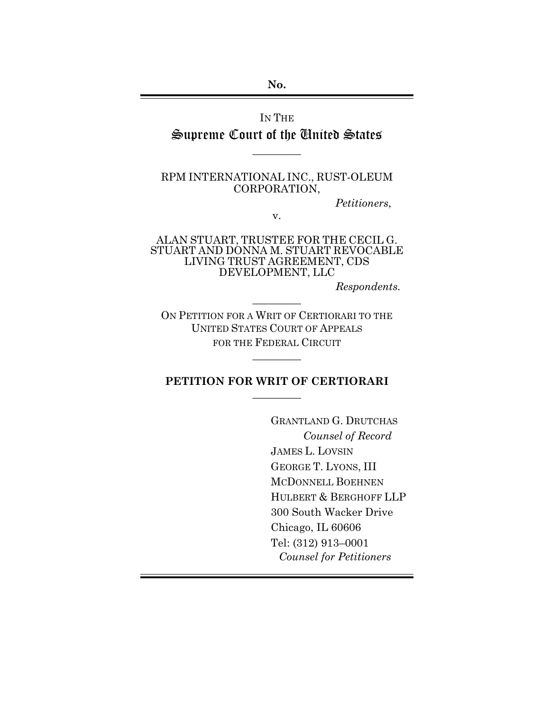**No.** 

IN THE Supreme Court of the United States

RPM INTERNATIONAL INC., RUST-OLEUM CORPORATION,

 $\overline{\phantom{a}}$ 

*Petitioners*,

v.

ALAN STUART, TRUSTEE FOR THE CECIL G. STUART AND DONNA M. STUART REVOCABLE LIVING TRUST AGREEMENT, CDS DEVELOPMENT, LLC

*Respondents.*

ON PETITION FOR A WRIT OF CERTIORARI TO THE UNITED STATES COURT OF APPEALS FOR THE FEDERAL CIRCUIT

 $\overline{\phantom{a}}$ 

## **PETITION FOR WRIT OF CERTIORARI**  $\overline{\phantom{a}}$

 $\overline{\phantom{a}}$ 

GRANTLAND G. DRUTCHAS *Counsel of Record* JAMES L. LOVSIN GEORGE T. LYONS, III MCDONNELL BOEHNEN HULBERT & BERGHOFF LLP 300 South Wacker Drive Chicago, IL 60606 Tel: (312) 913–0001 *Counsel for Petitioners*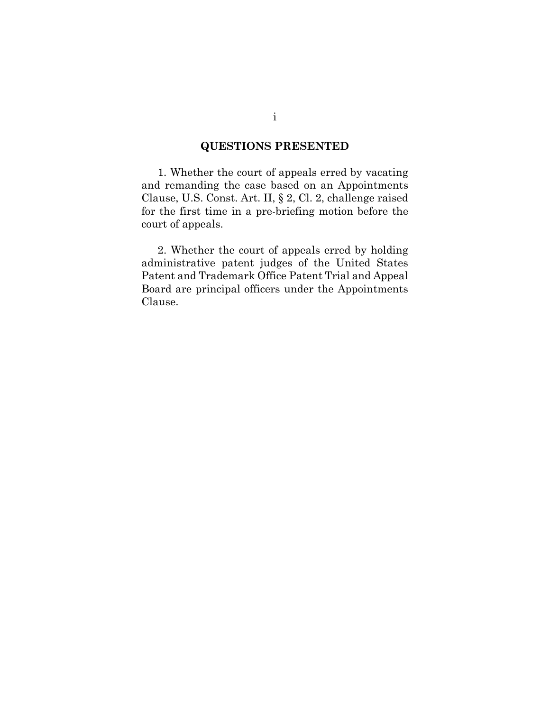## **QUESTIONS PRESENTED**

<span id="page-1-0"></span>1. Whether the court of appeals erred by vacating and remanding the case based on an Appointments Clause, U.S. Const. Art. II, § 2, Cl. 2, challenge raised for the first time in a pre-briefing motion before the court of appeals.

2. Whether the court of appeals erred by holding administrative patent judges of the United States Patent and Trademark Office Patent Trial and Appeal Board are principal officers under the Appointments Clause.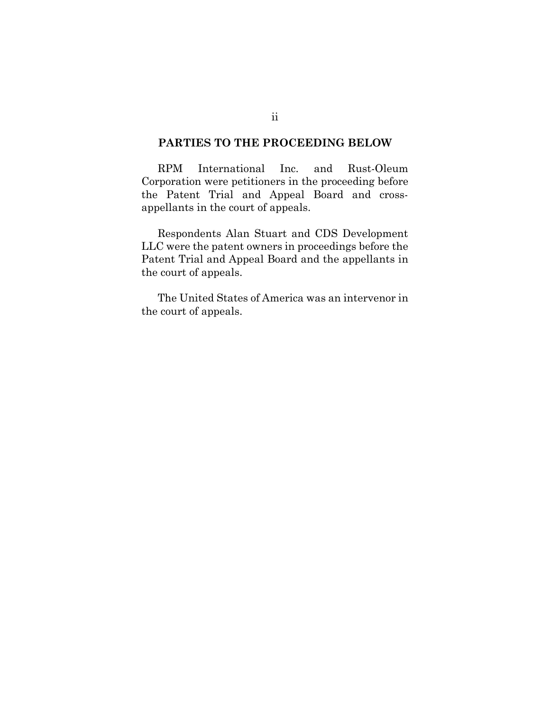#### <span id="page-2-0"></span>**PARTIES TO THE PROCEEDING BELOW**

RPM International Inc. and Rust-Oleum Corporation were petitioners in the proceeding before the Patent Trial and Appeal Board and crossappellants in the court of appeals.

Respondents Alan Stuart and CDS Development LLC were the patent owners in proceedings before the Patent Trial and Appeal Board and the appellants in the court of appeals.

The United States of America was an intervenor in the court of appeals.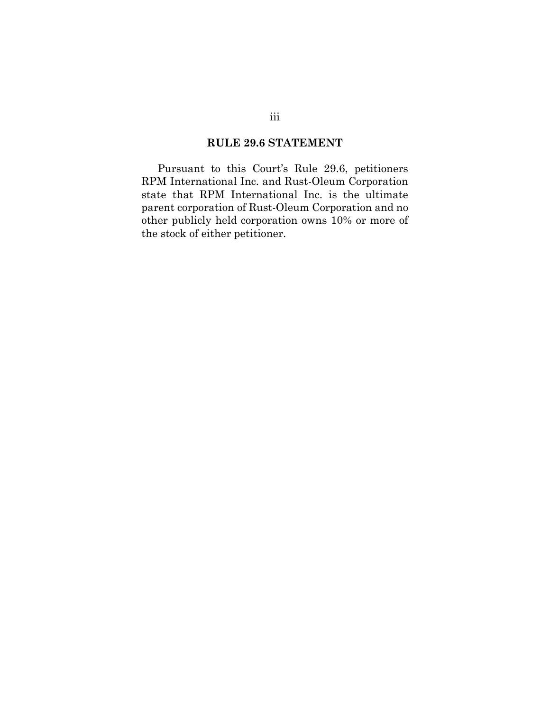### **RULE 29.6 STATEMENT**

<span id="page-3-0"></span>Pursuant to this Court's Rule 29.6, petitioners RPM International Inc. and Rust-Oleum Corporation state that RPM International Inc. is the ultimate parent corporation of Rust-Oleum Corporation and no other publicly held corporation owns 10% or more of the stock of either petitioner.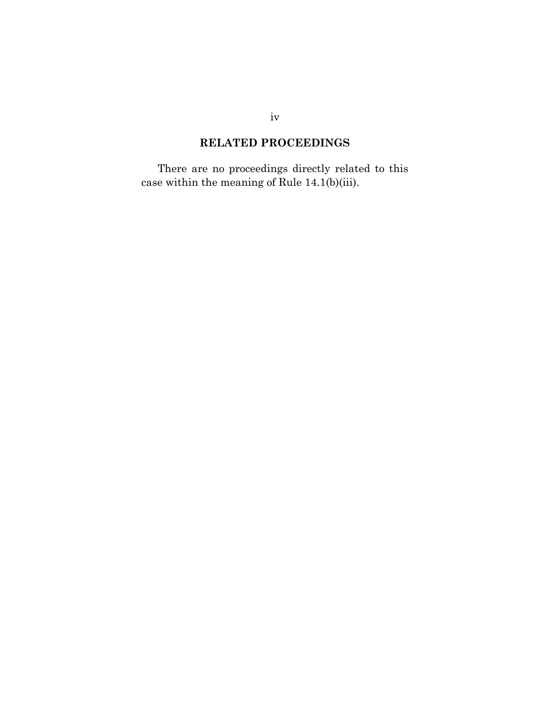# **RELATED PROCEEDINGS**

<span id="page-4-0"></span>There are no proceedings directly related to this case within the meaning of Rule 14.1(b)(iii).

iv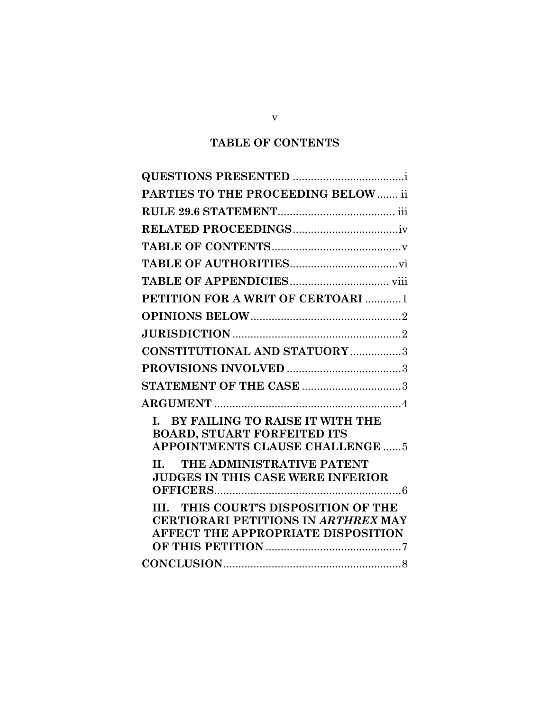# **TABLE OF CONTENTS**

<span id="page-5-0"></span>

| PARTIES TO THE PROCEEDING BELOW  ii                                                                                             |
|---------------------------------------------------------------------------------------------------------------------------------|
|                                                                                                                                 |
|                                                                                                                                 |
|                                                                                                                                 |
|                                                                                                                                 |
|                                                                                                                                 |
| PETITION FOR A WRIT OF CERTOARI  1                                                                                              |
|                                                                                                                                 |
|                                                                                                                                 |
| <b>CONSTITUTIONAL AND STATUORY 3</b>                                                                                            |
|                                                                                                                                 |
| STATEMENT OF THE CASE 3                                                                                                         |
|                                                                                                                                 |
| I. BY FAILING TO RAISE IT WITH THE<br><b>BOARD, STUART FORFEITED ITS</b><br><b>APPOINTMENTS CLAUSE CHALLENGE  5</b>             |
| II. THE ADMINISTRATIVE PATENT<br><b>JUDGES IN THIS CASE WERE INFERIOR</b>                                                       |
| III. THIS COURT'S DISPOSITION OF THE<br><b>CERTIORARI PETITIONS IN ARTHREX MAY</b><br><b>AFFECT THE APPROPRIATE DISPOSITION</b> |
|                                                                                                                                 |

v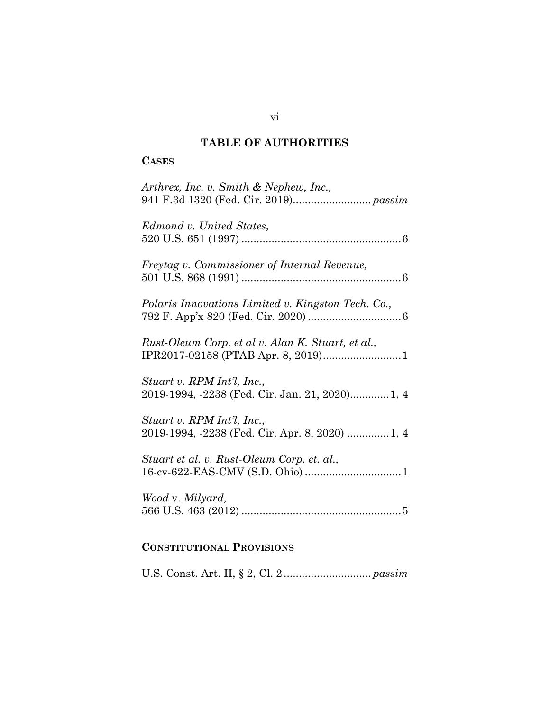# **TABLE OF AUTHORITIES**

## <span id="page-6-0"></span>**CASES**

| Arthrex, Inc. v. Smith & Nephew, Inc.,                                        |
|-------------------------------------------------------------------------------|
| Edmond v. United States,                                                      |
| Freytag v. Commissioner of Internal Revenue,                                  |
| Polaris Innovations Limited v. Kingston Tech. Co.,                            |
| Rust-Oleum Corp. et al v. Alan K. Stuart, et al.,                             |
| Stuart v. RPM Int'l, Inc.,<br>2019-1994, -2238 (Fed. Cir. Jan. 21, 2020) 1, 4 |
| Stuart v. RPM Int'l, Inc.,<br>2019-1994, -2238 (Fed. Cir. Apr. 8, 2020)  1, 4 |
| Stuart et al. v. Rust-Oleum Corp. et. al.,                                    |
| Wood v. Milyard,                                                              |
| <b>CONSTITUTIONAL PROVISIONS</b>                                              |

U.S. Const. Art. II, § 2, Cl. 2 ............................. *passim*

vi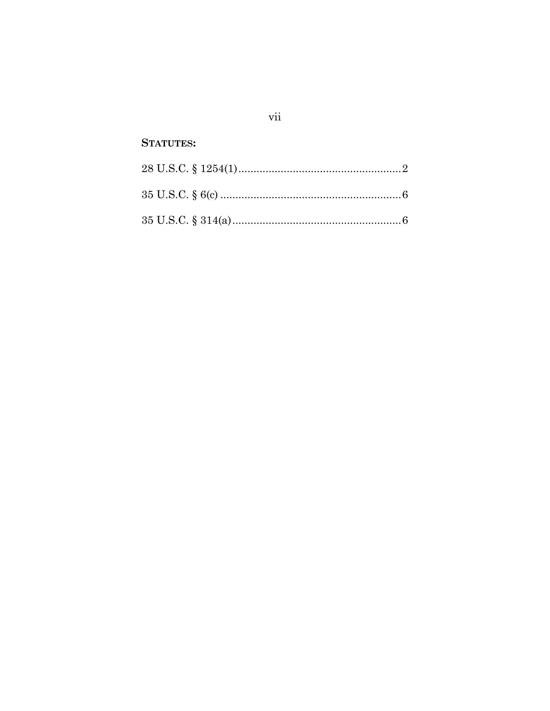## **STATUTES:**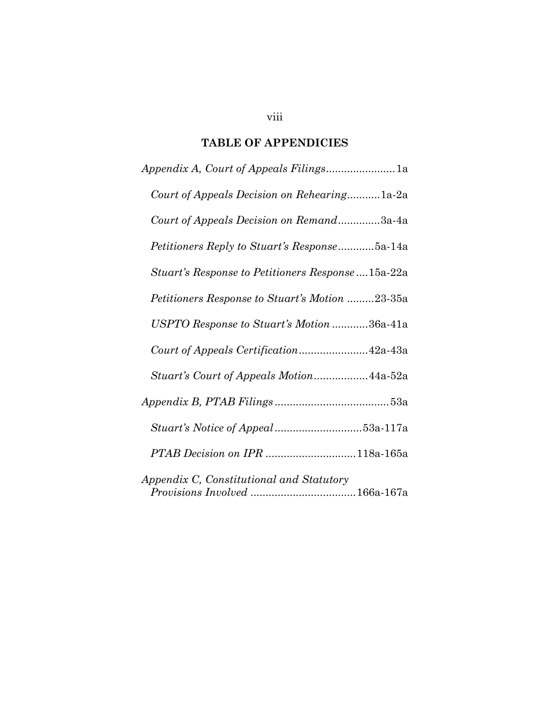## **TABLE OF APPENDICIES**

<span id="page-8-0"></span>

| Court of Appeals Decision on Rehearing1a-2a              |
|----------------------------------------------------------|
| Court of Appeals Decision on Remand3a-4a                 |
| <i>Petitioners Reply to Stuart's Response</i> 5a-14a     |
| <i>Stuart's Response to Petitioners Response</i> 15a-22a |
| <i>Petitioners Response to Stuart's Motion 23-35a</i>    |
| USPTO Response to Stuart's Motion 36a-41a                |
|                                                          |
| Stuart's Court of Appeals Motion44a-52a                  |
|                                                          |
|                                                          |
| PTAB Decision on IPR 118a-165a                           |
| Appendix C, Constitutional and Statutory                 |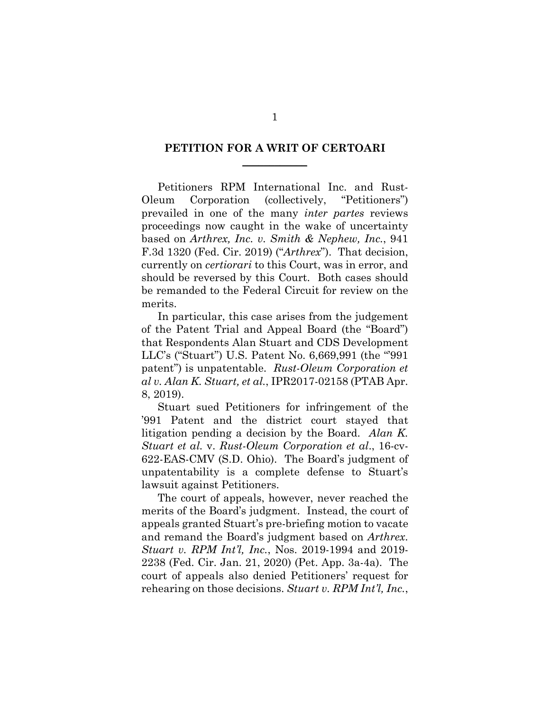### <span id="page-9-0"></span>**PETITION FOR A WRIT OF CERTOARI \_\_\_\_\_\_\_\_\_\_\_\_**

Petitioners RPM International Inc. and Rust-Oleum Corporation (collectively, "Petitioners") prevailed in one of the many *inter partes* reviews proceedings now caught in the wake of uncertainty based on *Arthrex, Inc. v. Smith & Nephew, Inc.*, 941 F.3d 1320 (Fed. Cir. 2019) ("*Arthrex*"). That decision, currently on *certiorari* to this Court, was in error, and should be reversed by this Court. Both cases should be remanded to the Federal Circuit for review on the merits.

In particular, this case arises from the judgement of the Patent Trial and Appeal Board (the "Board") that Respondents Alan Stuart and CDS Development LLC's ("Stuart") U.S. Patent No. 6,669,991 (the "'991 patent") is unpatentable. *Rust-Oleum Corporation et al v. Alan K. Stuart, et al.*, IPR2017-02158 (PTAB Apr. 8, 2019).

Stuart sued Petitioners for infringement of the '991 Patent and the district court stayed that litigation pending a decision by the Board. *Alan K. Stuart et al.* v. *Rust-Oleum Corporation et al*., 16-cv-622-EAS-CMV (S.D. Ohio). The Board's judgment of unpatentability is a complete defense to Stuart's lawsuit against Petitioners.

The court of appeals, however, never reached the merits of the Board's judgment. Instead, the court of appeals granted Stuart's pre-briefing motion to vacate and remand the Board's judgment based on *Arthrex*. *Stuart v. RPM Int'l, Inc.*, Nos. 2019-1994 and 2019- 2238 (Fed. Cir. Jan. 21, 2020) (Pet. App. 3a-4a). The court of appeals also denied Petitioners' request for rehearing on those decisions. *Stuart v. RPM Int'l, Inc.*,

1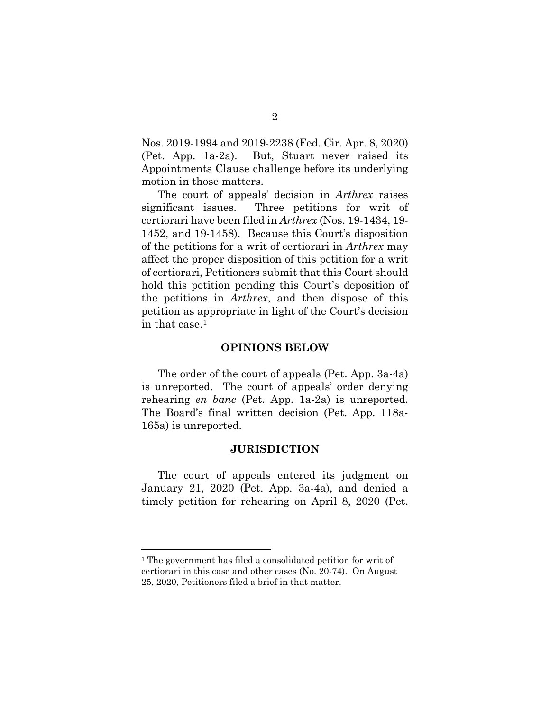Nos. 2019-1994 and 2019-2238 (Fed. Cir. Apr. 8, 2020) (Pet. App. 1a-2a). But, Stuart never raised its Appointments Clause challenge before its underlying motion in those matters.

The court of appeals' decision in *Arthrex* raises significant issues. Three petitions for writ of certiorari have been filed in *Arthrex* (Nos. 19-1434, 19- 1452, and 19-1458). Because this Court's disposition of the petitions for a writ of certiorari in *Arthrex* may affect the proper disposition of this petition for a writ of certiorari, Petitioners submit that this Court should hold this petition pending this Court's deposition of the petitions in *Arthrex*, and then dispose of this petition as appropriate in light of the Court's decision in that case.[1](#page-10-2)

#### **OPINIONS BELOW**

<span id="page-10-0"></span>The order of the court of appeals (Pet. App. 3a-4a) is unreported. The court of appeals' order denying rehearing *en banc* (Pet. App. 1a-2a) is unreported. The Board's final written decision (Pet. App. 118a-165a) is unreported.

#### **JURISDICTION**

<span id="page-10-1"></span>The court of appeals entered its judgment on January 21, 2020 (Pet. App. 3a-4a), and denied a timely petition for rehearing on April 8, 2020 (Pet.

<span id="page-10-2"></span> <sup>1</sup> The government has filed a consolidated petition for writ of certiorari in this case and other cases (No. 20-74). On August 25, 2020, Petitioners filed a brief in that matter.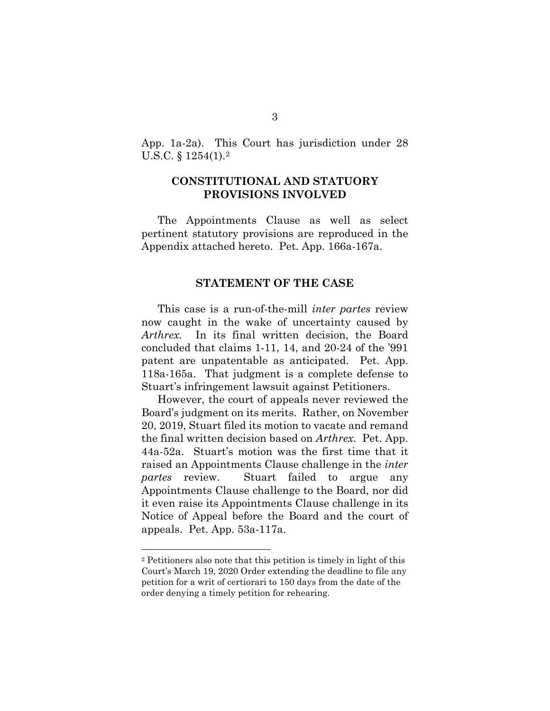App. 1a-2a). This Court has jurisdiction under 28 U.S.C. § 1254(1)[.2](#page-11-3)

### <span id="page-11-0"></span>**CONSTITUTIONAL AND STATUORY PROVISIONS INVOLVED**

<span id="page-11-1"></span>The Appointments Clause as well as select pertinent statutory provisions are reproduced in the Appendix attached hereto. Pet. App. 166a-167a.

#### **STATEMENT OF THE CASE**

<span id="page-11-2"></span>This case is a run-of-the-mill *inter partes* review now caught in the wake of uncertainty caused by *Arthrex*. In its final written decision, the Board concluded that claims 1-11, 14, and 20-24 of the '991 patent are unpatentable as anticipated. Pet. App. 118a-165a. That judgment is a complete defense to Stuart's infringement lawsuit against Petitioners.

However, the court of appeals never reviewed the Board's judgment on its merits. Rather, on November 20, 2019, Stuart filed its motion to vacate and remand the final written decision based on *Arthrex*. Pet. App. 44a-52a. Stuart's motion was the first time that it raised an Appointments Clause challenge in the *inter partes* review. Stuart failed to argue any Appointments Clause challenge to the Board, nor did it even raise its Appointments Clause challenge in its Notice of Appeal before the Board and the court of appeals. Pet. App. 53a-117a.

<span id="page-11-3"></span> <sup>2</sup> Petitioners also note that this petition is timely in light of this Court's March 19, 2020 Order extending the deadline to file any petition for a writ of certiorari to 150 days from the date of the order denying a timely petition for rehearing.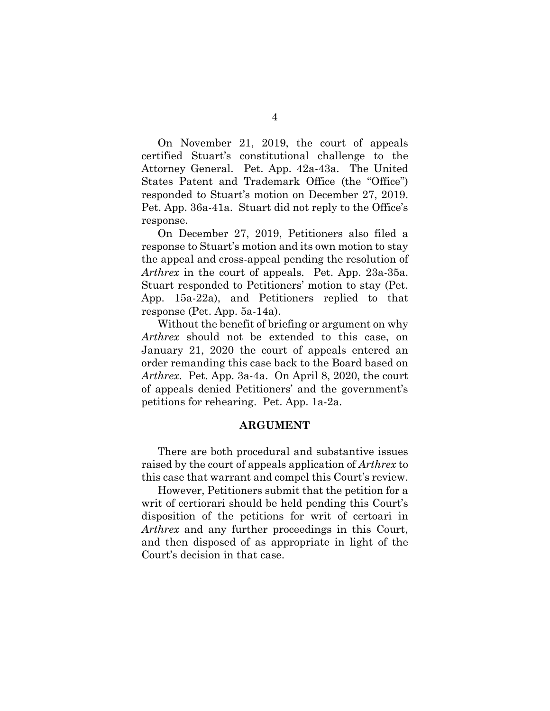On November 21, 2019, the court of appeals certified Stuart's constitutional challenge to the Attorney General. Pet. App. 42a-43a. The United States Patent and Trademark Office (the "Office") responded to Stuart's motion on December 27, 2019. Pet. App. 36a-41a. Stuart did not reply to the Office's response.

On December 27, 2019, Petitioners also filed a response to Stuart's motion and its own motion to stay the appeal and cross-appeal pending the resolution of *Arthrex* in the court of appeals. Pet. App. 23a-35a. Stuart responded to Petitioners' motion to stay (Pet. App. 15a-22a), and Petitioners replied to that response (Pet. App. 5a-14a).

Without the benefit of briefing or argument on why *Arthrex* should not be extended to this case, on January 21, 2020 the court of appeals entered an order remanding this case back to the Board based on *Arthrex*. Pet. App. 3a-4a. On April 8, 2020, the court of appeals denied Petitioners' and the government's petitions for rehearing. Pet. App. 1a-2a.

#### **ARGUMENT**

<span id="page-12-0"></span>There are both procedural and substantive issues raised by the court of appeals application of *Arthrex* to this case that warrant and compel this Court's review.

However, Petitioners submit that the petition for a writ of certiorari should be held pending this Court's disposition of the petitions for writ of certoari in *Arthrex* and any further proceedings in this Court, and then disposed of as appropriate in light of the Court's decision in that case.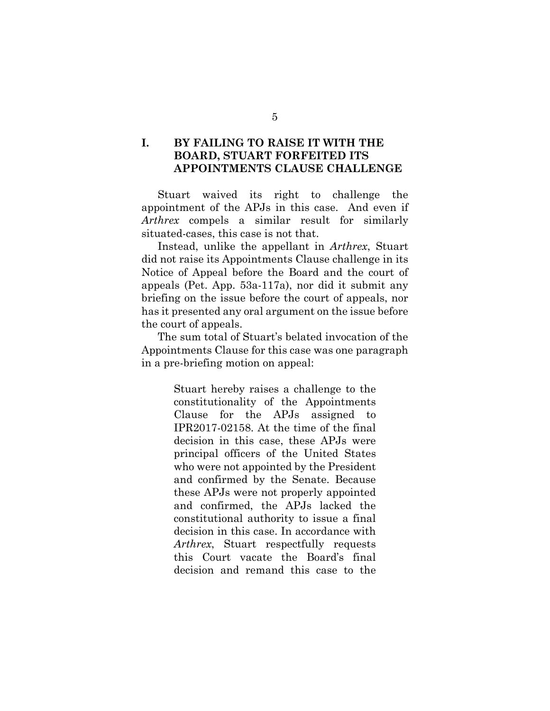### <span id="page-13-0"></span>**I. BY FAILING TO RAISE IT WITH THE BOARD, STUART FORFEITED ITS APPOINTMENTS CLAUSE CHALLENGE**

Stuart waived its right to challenge the appointment of the APJs in this case. And even if *Arthrex* compels a similar result for similarly situated-cases, this case is not that.

Instead, unlike the appellant in *Arthrex*, Stuart did not raise its Appointments Clause challenge in its Notice of Appeal before the Board and the court of appeals (Pet. App. 53a-117a), nor did it submit any briefing on the issue before the court of appeals, nor has it presented any oral argument on the issue before the court of appeals.

The sum total of Stuart's belated invocation of the Appointments Clause for this case was one paragraph in a pre-briefing motion on appeal:

> Stuart hereby raises a challenge to the constitutionality of the Appointments Clause for the APJs assigned to IPR2017-02158. At the time of the final decision in this case, these APJs were principal officers of the United States who were not appointed by the President and confirmed by the Senate. Because these APJs were not properly appointed and confirmed, the APJs lacked the constitutional authority to issue a final decision in this case. In accordance with *Arthrex*, Stuart respectfully requests this Court vacate the Board's final decision and remand this case to the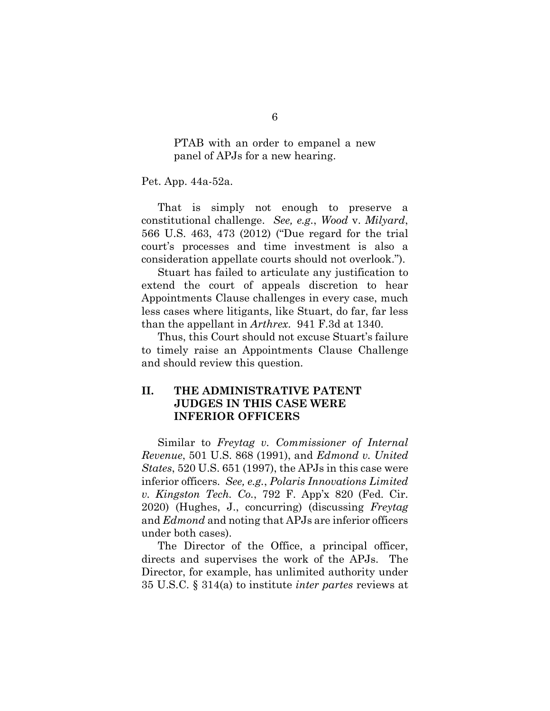PTAB with an order to empanel a new panel of APJs for a new hearing.

Pet. App. 44a-52a.

That is simply not enough to preserve a constitutional challenge. *See, e.g.*, *Wood* v. *Milyard*, 566 U.S. 463, 473 (2012) ("Due regard for the trial court's processes and time investment is also a consideration appellate courts should not overlook.").

Stuart has failed to articulate any justification to extend the court of appeals discretion to hear Appointments Clause challenges in every case, much less cases where litigants, like Stuart, do far, far less than the appellant in *Arthrex*. 941 F.3d at 1340.

Thus, this Court should not excuse Stuart's failure to timely raise an Appointments Clause Challenge and should review this question.

## <span id="page-14-0"></span>**II. THE ADMINISTRATIVE PATENT JUDGES IN THIS CASE WERE INFERIOR OFFICERS**

Similar to *Freytag v. Commissioner of Internal Revenue*, 501 U.S. 868 (1991), and *Edmond v. United States*, 520 U.S. 651 (1997), the APJs in this case were inferior officers. *See, e.g.*, *Polaris Innovations Limited v. Kingston Tech. Co.*, 792 F. App'x 820 (Fed. Cir. 2020) (Hughes, J., concurring) (discussing *Freytag* and *Edmond* and noting that APJs are inferior officers under both cases).

The Director of the Office, a principal officer, directs and supervises the work of the APJs. The Director, for example, has unlimited authority under 35 U.S.C. § 314(a) to institute *inter partes* reviews at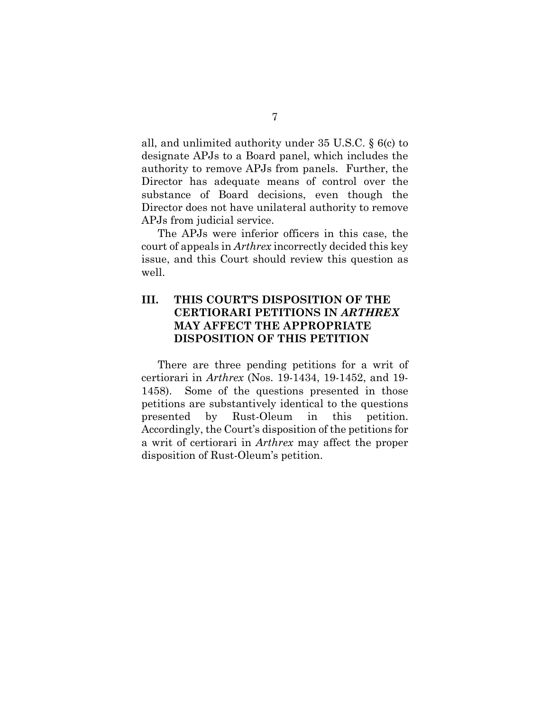all, and unlimited authority under 35 U.S.C. § 6(c) to designate APJs to a Board panel, which includes the authority to remove APJs from panels. Further, the Director has adequate means of control over the substance of Board decisions, even though the Director does not have unilateral authority to remove APJs from judicial service.

The APJs were inferior officers in this case, the court of appeals in *Arthrex* incorrectly decided this key issue, and this Court should review this question as well.

## <span id="page-15-0"></span>**III. THIS COURT'S DISPOSITION OF THE CERTIORARI PETITIONS IN** *ARTHREX* **MAY AFFECT THE APPROPRIATE DISPOSITION OF THIS PETITION**

There are three pending petitions for a writ of certiorari in *Arthrex* (Nos. 19-1434, 19-1452, and 19- 1458). Some of the questions presented in those petitions are substantively identical to the questions presented by Rust-Oleum in this petition. Accordingly, the Court's disposition of the petitions for a writ of certiorari in *Arthrex* may affect the proper disposition of Rust-Oleum's petition.